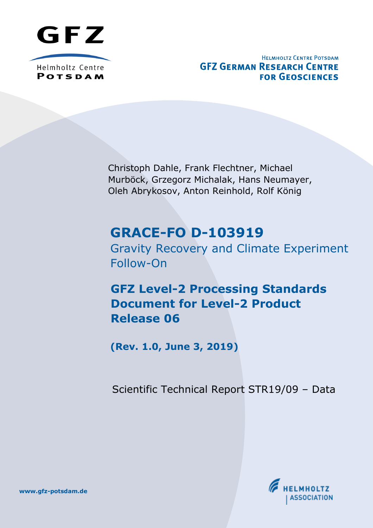

Helmholtz Centre **POTSDAM** 

**HELMHOLTZ CENTRE POTSDAM GFZ GERMAN RESEARCH CENTRE FOR GEOSCIENCES** 

Christoph Dahle, Frank Flechtner, Michael Murböck, Grzegorz Michalak, Hans Neumayer, Oleh Abrykosov, Anton Reinhold, Rolf König

# **GRACE-FO D-103919**

Gravity Recovery and Climate Experiment Follow-On

**GFZ Level-2 Processing Standards Document for Level-2 Product Release 06**

**(Rev. 1.0, June 3, 2019)**

Scientific Technical Report STR19/09 – Data



**[www.gfz-potsdam.de](http://www.gfz-potsdam.de)**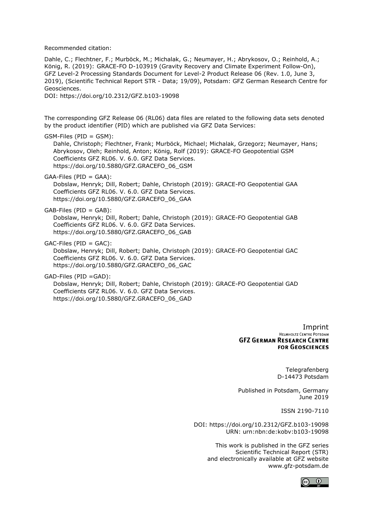Recommended citation:

Dahle, C.; Flechtner, F.; Murböck, M.; Michalak, G.; Neumayer, H.; Abrykosov, O.; Reinhold, A.; König, R. (2019): GRACE-FO D-103919 (Gravity Recovery and Climate Experiment Follow-On), GFZ Level-2 Processing Standards Document for Level-2 Product Release 06 (Rev. 1.0, June 3, 2019), (Scientific Technical Report STR - Data; 19/09), Potsdam: GFZ German Research Centre for Geosciences. DOI:<https://doi.org/10.2312/GFZ.b103-19098>

The corresponding GFZ Release 06 (RL06) data files are related to the following data sets denoted by the product identifier (PID) which are published via GFZ Data Services:

GSM-Files (PID = GSM): Dahle, Christoph; Flechtner, Frank; Murböck, Michael; Michalak, Grzegorz; Neumayer, Hans; Abrykosov, Oleh; Reinhold, Anton; König, Rolf (2019): GRACE-FO Geopotential GSM Coefficients GFZ RL06. V. 6.0. GFZ Data Services. [https://doi.org/10.5880/GFZ.GRACEFO\\_06\\_GSM](https://doi.org/10.5880/GFZ.GRACEFO_06_GSM)

GAA-Files (PID = GAA): Dobslaw, Henryk; Dill, Robert; Dahle, Christoph (2019): GRACE-FO Geopotential GAA Coefficients GFZ RL06. V. 6.0. GFZ Data Services. [https://doi.org/10.5880/GFZ.GRACEFO\\_06\\_GAA](https://doi.org/10.5880/GFZ.GRACEFO_06_GAA)

GAB-Files (PID = GAB):

Dobslaw, Henryk; Dill, Robert; Dahle, Christoph (2019): GRACE-FO Geopotential GAB Coefficients GFZ RL06. V. 6.0. GFZ Data Services. [https://doi.org/10.5880/GFZ.GRACEFO\\_06\\_GAB](https://doi.org/10.5880/GFZ.GRACEFO_06_GAB)

GAC-Files (PID = GAC):

Dobslaw, Henryk; Dill, Robert; Dahle, Christoph (2019): GRACE-FO Geopotential GAC Coefficients GFZ RL06. V. 6.0. GFZ Data Services. [https://doi.org/10.5880/GFZ.GRACEFO\\_06\\_GAC](https://doi.org/10.5880/GFZ.GRACEFO_06_GAC)

GAD-Files (PID =GAD):

Dobslaw, Henryk; Dill, Robert; Dahle, Christoph (2019): GRACE-FO Geopotential GAD Coefficients GFZ RL06. V. 6.0. GFZ Data Services. [https://doi.org/10.5880/GFZ.GRACEFO\\_06\\_GAD](https://doi.org/10.5880/GFZ.GRACEFO_06_GAD)

> **Imprint**<br>
> HELMHOLTZ CENTRE POTSDAM **GFZ GERMAN RESEARCH CENTRE FOR GEOSCIENCES**

> > Telegrafenberg D-14473 Potsdam

Published in Potsdam, Germany June 2019

ISSN 2190-7110

DOI: https://doi.org/10.2312/GFZ.b103-19098 URN: urn:nbn:de:kobv:b103-19098

> This work is published in the GFZ series Scientific Technical Report (STR) and electronically available at GFZ website [www.gfz-potsdam.de](http://www.gfz-potsdam.de/)

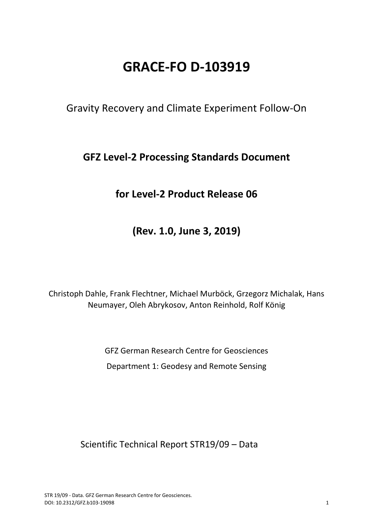# **GRACE-FO D-103919**

Gravity Recovery and Climate Experiment Follow-On

## **GFZ Level-2 Processing Standards Document**

## **for Level-2 Product Release 06**

**(Rev. 1.0, June 3, 2019)**

Christoph Dahle, Frank Flechtner, Michael Murböck, Grzegorz Michalak, Hans Neumayer, Oleh Abrykosov, Anton Reinhold, Rolf König

> GFZ German Research Centre for Geosciences Department 1: Geodesy and Remote Sensing

Scientific Technical Report STR19/09 – Data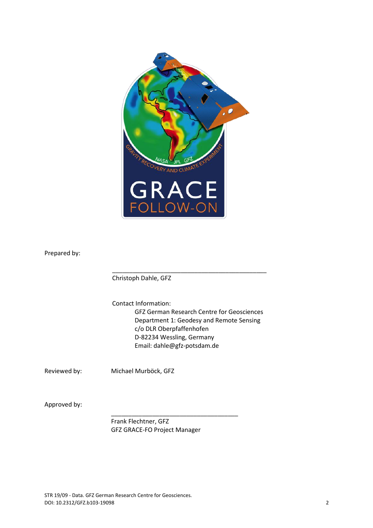

Prepared by:

Christoph Dahle, GFZ

Contact Information: GFZ German Research Centre for Geosciences Department 1: Geodesy and Remote Sensing c/o DLR Oberpfaffenhofen D-82234 Wessling, Germany Email: dahle@gfz-potsdam.de

\_\_\_\_\_\_\_\_\_\_\_\_\_\_\_\_\_\_\_\_\_\_\_\_\_\_\_\_\_\_\_\_\_\_\_\_\_\_\_\_\_\_\_\_\_

Reviewed by: Michael Murböck, GFZ

Approved by:

Frank Flechtner, GFZ GFZ GRACE-FO Project Manager

\_\_\_\_\_\_\_\_\_\_\_\_\_\_\_\_\_\_\_\_\_\_\_\_\_\_\_\_\_\_\_\_\_\_\_\_\_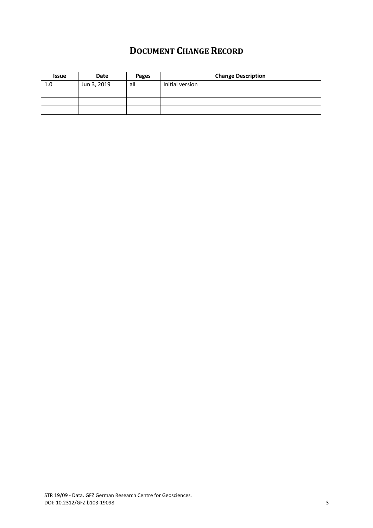## **DOCUMENT CHANGE RECORD**

<span id="page-4-0"></span>

| <b>Issue</b> | Date        | Pages | <b>Change Description</b> |
|--------------|-------------|-------|---------------------------|
| 1.0          | Jun 3, 2019 | all   | Initial version           |
|              |             |       |                           |
|              |             |       |                           |
|              |             |       |                           |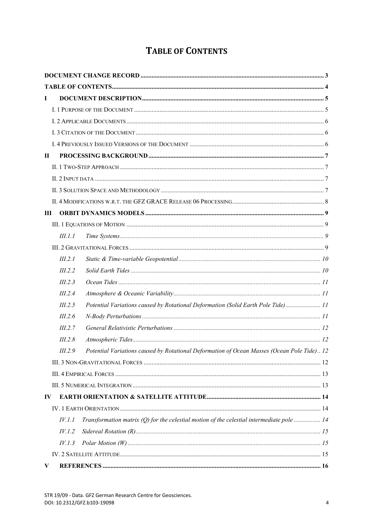## **TABLE OF CONTENTS**

<span id="page-5-0"></span>

| $\mathbf I$  |                |                                                                                            |  |
|--------------|----------------|--------------------------------------------------------------------------------------------|--|
|              |                |                                                                                            |  |
|              |                |                                                                                            |  |
|              |                |                                                                                            |  |
|              |                |                                                                                            |  |
| $\mathbf{I}$ |                |                                                                                            |  |
|              |                |                                                                                            |  |
|              |                |                                                                                            |  |
|              |                |                                                                                            |  |
|              |                |                                                                                            |  |
| Ш            |                |                                                                                            |  |
|              |                |                                                                                            |  |
|              | <i>III.1.1</i> |                                                                                            |  |
|              |                |                                                                                            |  |
|              | III.2.1        |                                                                                            |  |
|              | III.2.2        |                                                                                            |  |
|              | III.2.3        |                                                                                            |  |
|              | III.2.4        |                                                                                            |  |
|              | III.2.5        | Potential Variations caused by Rotational Deformation (Solid Earth Pole Tide) 11           |  |
|              | III.2.6        |                                                                                            |  |
|              | III.2.7        |                                                                                            |  |
|              | III.2.8        |                                                                                            |  |
|              | III.2.9        | Potential Variations caused by Rotational Deformation of Ocean Masses (Ocean Pole Tide) 12 |  |
|              |                |                                                                                            |  |
|              |                |                                                                                            |  |
|              |                |                                                                                            |  |
| IV           |                |                                                                                            |  |
|              |                |                                                                                            |  |
|              | IV.1.1         | Transformation matrix (Q) for the celestial motion of the celestial intermediate pole  14  |  |
|              | IV.1.2         |                                                                                            |  |
|              | IV.1.3         |                                                                                            |  |
|              |                |                                                                                            |  |
| V.           |                |                                                                                            |  |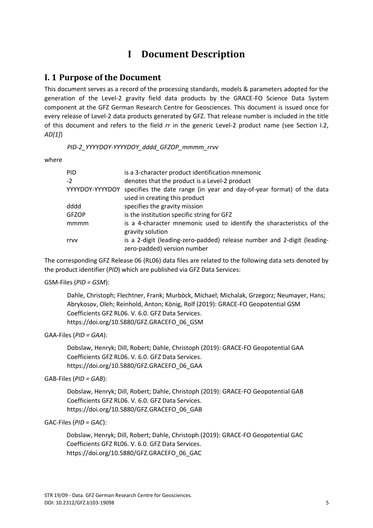## **I Document Description**

### <span id="page-6-1"></span><span id="page-6-0"></span>**I. 1 Purpose of the Document**

This document serves as a record of the processing standards, models & parameters adopted for the generation of the Level-2 gravity field data products by the GRACE-FO Science Data System component at the GFZ German Research Centre for Geosciences. This document is issued once for every release of Level-2 data products generated by GFZ. That release number is included in the title of this document and refers to the field *rr* in the generic Level-2 product name (see Section I.2, *AD[1]*)

#### *PID-2\_YYYYDOY-YYYYDOY\_dddd\_GFZOP\_mmmm\_rrvv*

where

| PID             | is a 3-character product identification mnemonic                                                       |
|-----------------|--------------------------------------------------------------------------------------------------------|
| $-2$            | denotes that the product is a Level-2 product                                                          |
| YYYYDOY-YYYYDOY | specifies the date range (in year and day-of-year format) of the data                                  |
|                 | used in creating this product                                                                          |
| dddd            | specifies the gravity mission                                                                          |
| GFZOP           | is the institution specific string for GFZ                                                             |
| mmmm            | is a 4-character mnemonic used to identify the characteristics of the                                  |
|                 | gravity solution                                                                                       |
| rrvv            | is a 2-digit (leading-zero-padded) release number and 2-digit (leading-<br>zero-padded) version number |
|                 |                                                                                                        |

The corresponding GFZ Release 06 (RL06) data files are related to the following data sets denoted by the product identifier (*PID*) which are published via GFZ Data Services:

#### GSM-Files (*PID = GSM*):

Dahle, Christoph; Flechtner, Frank; Murböck, Michael; Michalak, Grzegorz; Neumayer, Hans; Abrykosov, Oleh; Reinhold, Anton; König, Rolf (2019): GRACE-FO Geopotential GSM Coefficients GFZ RL06. V. 6.0. GFZ Data Services. [https://doi.org/10.5880/GFZ.GRACEFO\\_06\\_GSM](https://doi.org/10.5880/GFZ.GRACEFO_06_GSM)

#### GAA-Files (*PID = GAA*):

Dobslaw, Henryk; Dill, Robert; Dahle, Christoph (2019): GRACE-FO Geopotential GAA Coefficients GFZ RL06. V. 6.0. GFZ Data Services. [https://doi.org/10.5880/GFZ.GRACEFO\\_06\\_GAA](https://doi.org/10.5880/GFZ.GRACEFO_06_GAA)

#### GAB-Files (*PID = GAB*):

Dobslaw, Henryk; Dill, Robert; Dahle, Christoph (2019): GRACE-FO Geopotential GAB Coefficients GFZ RL06. V. 6.0. GFZ Data Services. [https://doi.org/10.5880/GFZ.GRACEFO\\_06\\_GAB](https://doi.org/10.5880/GFZ.GRACEFO_06_GAB)

#### GAC-Files (*PID = GAC*):

Dobslaw, Henryk; Dill, Robert; Dahle, Christoph (2019): GRACE-FO Geopotential GAC Coefficients GFZ RL06. V. 6.0. GFZ Data Services. [https://doi.org/10.5880/GFZ.GRACEFO\\_06\\_GAC](https://doi.org/10.5880/GFZ.GRACEFO_06_GAC)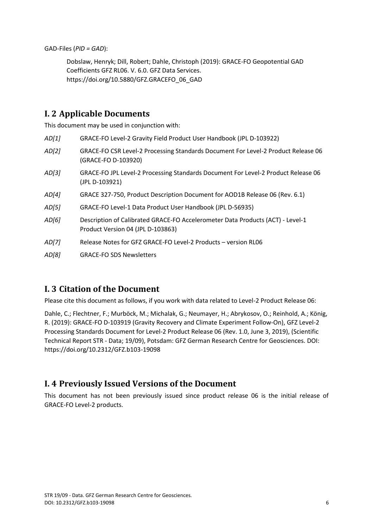GAD-Files (*PID = GAD*):

Dobslaw, Henryk; Dill, Robert; Dahle, Christoph (2019): GRACE-FO Geopotential GAD Coefficients GFZ RL06. V. 6.0. GFZ Data Services. [https://doi.org/10.5880/GFZ.GRACEFO\\_06\\_GAD](https://doi.org/10.5880/GFZ.GRACEFO_06_GAD)

## <span id="page-7-0"></span>**I. 2 Applicable Documents**

This document may be used in conjunction with:

- *AD[1]* GRACE-FO Level-2 Gravity Field Product User Handbook (JPL D-103922)
- *AD[2]* GRACE-FO CSR Level-2 Processing Standards Document For Level-2 Product Release 06 (GRACE-FO D-103920)
- *AD[3]* GRACE-FO JPL Level-2 Processing Standards Document For Level-2 Product Release 06 (JPL D-103921)
- *AD[4]* GRACE 327-750, Product Description Document for AOD1B Release 06 (Rev. 6.1)
- *AD[5]* GRACE-FO Level-1 Data Product User Handbook (JPL D-56935)
- *AD[6]* Description of Calibrated GRACE-FO Accelerometer Data Products (ACT) Level-1 Product Version 04 (JPL D-103863)
- *AD[7]* Release Notes for GFZ GRACE-FO Level-2 Products version RL06
- *AD[8]* GRACE-FO SDS Newsletters

## <span id="page-7-1"></span>**I. 3 Citation of the Document**

Please cite this document as follows, if you work with data related to Level-2 Product Release 06:

Dahle, C.; Flechtner, F.; Murböck, M.; Michalak, G.; Neumayer, H.; Abrykosov, O.; Reinhold, A.; König, R. (2019): GRACE-FO D-103919 (Gravity Recovery and Climate Experiment Follow-On), GFZ Level-2 Processing Standards Document for Level-2 Product Release 06 (Rev. 1.0, June 3, 2019), (Scientific Technical Report STR - Data; 19/09), Potsdam: GFZ German Research Centre for Geosciences. DOI: <https://doi.org/10.2312/GFZ.b103-19098>

## <span id="page-7-2"></span>**I. 4 Previously Issued Versions of the Document**

This document has not been previously issued since product release 06 is the initial release of GRACE-FO Level-2 products.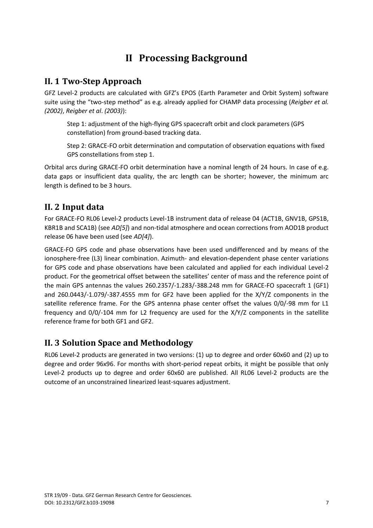## **II Processing Background**

## <span id="page-8-1"></span><span id="page-8-0"></span>**II. 1 Two-Step Approach**

GFZ Level-2 products are calculated with GFZ's EPOS (Earth Parameter and Orbit System) software suite using the "two-step method" as e.g. already applied for CHAMP data processing (*Reigber et al. (2002)*, *Reigber et al*. *(2003)*):

Step 1: adjustment of the high-flying GPS spacecraft orbit and clock parameters (GPS constellation) from ground-based tracking data.

Step 2: GRACE-FO orbit determination and computation of observation equations with fixed GPS constellations from step 1.

Orbital arcs during GRACE-FO orbit determination have a nominal length of 24 hours. In case of e.g. data gaps or insufficient data quality, the arc length can be shorter; however, the minimum arc length is defined to be 3 hours.

## <span id="page-8-2"></span>**II. 2 Input data**

For GRACE-FO RL06 Level-2 products Level-1B instrument data of release 04 (ACT1B, GNV1B, GPS1B, KBR1B and SCA1B) (see *AD[5]*) and non-tidal atmosphere and ocean corrections from AOD1B product release 06 have been used (see *AD[4]*).

GRACE-FO GPS code and phase observations have been used undifferenced and by means of the ionosphere-free (L3) linear combination. Azimuth- and elevation-dependent phase center variations for GPS code and phase observations have been calculated and applied for each individual Level-2 product. For the geometrical offset between the satellites' center of mass and the reference point of the main GPS antennas the values 260.2357/-1.283/-388.248 mm for GRACE-FO spacecraft 1 (GF1) and 260.0443/-1.079/-387.4555 mm for GF2 have been applied for the X/Y/Z components in the satellite reference frame. For the GPS antenna phase center offset the values 0/0/-98 mm for L1 frequency and 0/0/-104 mm for L2 frequency are used for the X/Y/Z components in the satellite reference frame for both GF1 and GF2.

## <span id="page-8-3"></span>**II. 3 Solution Space and Methodology**

RL06 Level-2 products are generated in two versions: (1) up to degree and order 60x60 and (2) up to degree and order 96x96. For months with short-period repeat orbits, it might be possible that only Level-2 products up to degree and order 60x60 are published. All RL06 Level-2 products are the outcome of an unconstrained linearized least-squares adjustment.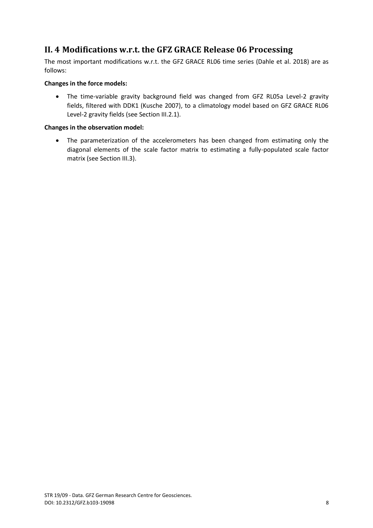## <span id="page-9-0"></span>**II. 4 Modifications w.r.t. the GFZ GRACE Release 06 Processing**

The most important modifications w.r.t. the GFZ GRACE RL06 time series (Dahle et al. 2018) are as follows:

#### **Changes in the force models:**

 The time-variable gravity background field was changed from GFZ RL05a Level-2 gravity fields, filtered with DDK1 (Kusche 2007), to a climatology model based on GFZ GRACE RL06 Level-2 gravity fields (see Section III.2.1).

#### **Changes in the observation model:**

 The parameterization of the accelerometers has been changed from estimating only the diagonal elements of the scale factor matrix to estimating a fully-populated scale factor matrix (see Section III.3).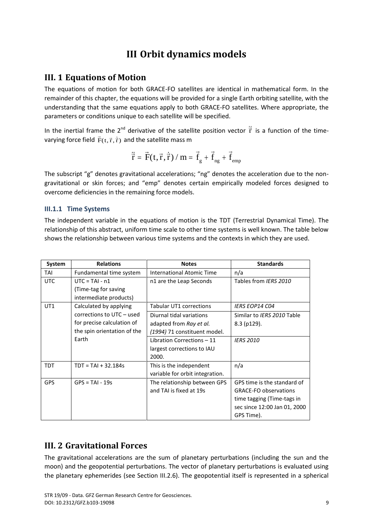## **III Orbit dynamics models**

### <span id="page-10-1"></span><span id="page-10-0"></span>**III. 1 Equations of Motion**

The equations of motion for both GRACE-FO satellites are identical in mathematical form. In the remainder of this chapter, the equations will be provided for a single Earth orbiting satellite, with the understanding that the same equations apply to both GRACE-FO satellites. Where appropriate, the parameters or conditions unique to each satellite will be specified.

In the inertial frame the 2<sup>nd</sup> derivative of the satellite position vector  $\ddot{\vec{r}}$  is a function of the timevarying force field  $\overline{\mathrm{F}}(\mathrm{t},\overline{\mathrm{r}},\overline{\mathrm{r}})$  and the satellite mass m

$$
\ddot{\vec{r}} = \vec{F}(t, \vec{r}, \dot{\vec{r}}) / m = \vec{f}_g + \vec{f}_{ng} + \vec{f}_{emp}
$$

The subscript "g" denotes gravitational accelerations; "ng" denotes the acceleration due to the nongravitational or skin forces; and "emp" denotes certain empirically modeled forces designed to overcome deficiencies in the remaining force models.

#### <span id="page-10-2"></span>**III.1.1 Time Systems**

The independent variable in the equations of motion is the TDT (Terrestrial Dynamical Time). The relationship of this abstract, uniform time scale to other time systems is well known. The table below shows the relationship between various time systems and the contexts in which they are used.

| System     | <b>Relations</b>            | <b>Notes</b>                     | <b>Standards</b>             |
|------------|-----------------------------|----------------------------------|------------------------------|
| TAI        | Fundamental time system     | <b>International Atomic Time</b> | n/a                          |
| <b>UTC</b> | $UTC = TAI - n1$            | n1 are the Leap Seconds          | Tables from IERS 2010        |
|            | (Time-tag for saving        |                                  |                              |
|            | intermediate products)      |                                  |                              |
| UT1        | Calculated by applying      | <b>Tabular UT1 corrections</b>   | <b>IERS EOP14 CO4</b>        |
|            | corrections to UTC - used   | Diurnal tidal variations         | Similar to IERS 2010 Table   |
|            | for precise calculation of  | adapted from Ray et al.          | $8.3$ (p129).                |
|            | the spin orientation of the | (1994) 71 constituent model.     |                              |
|            | Earth                       | Libration Corrections - 11       | <b>IERS 2010</b>             |
|            |                             | largest corrections to IAU       |                              |
|            |                             | 2000.                            |                              |
| <b>TDT</b> | $TDT = TAI + 32.184s$       | This is the independent          | n/a                          |
|            |                             | variable for orbit integration.  |                              |
| <b>GPS</b> | $GPS = TAI - 19s$           | The relationship between GPS     | GPS time is the standard of  |
|            |                             | and TAI is fixed at 19s          | <b>GRACE-FO observations</b> |
|            |                             |                                  | time tagging (Time-tags in   |
|            |                             |                                  | sec since 12:00 Jan 01, 2000 |
|            |                             |                                  | GPS Time).                   |

## <span id="page-10-3"></span>**III. 2 Gravitational Forces**

The gravitational accelerations are the sum of planetary perturbations (including the sun and the moon) and the geopotential perturbations. The vector of planetary perturbations is evaluated using the planetary ephemerides (see Section III.2.6). The geopotential itself is represented in a spherical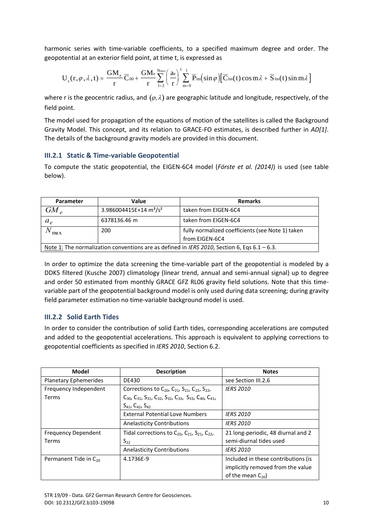harmonic series with time-variable coefficients, to a specified maximum degree and order. The geopotential at an exterior field point, at time t, is expressed as

$$
U_s(r,\varphi,\lambda,t)=\frac{GM_e}{r}\overline{C}_{00}+\frac{GM_e}{r}\sum_{l=2}^{N_{max}}\biggl(\frac{a_e}{r}\biggr)^l\sum_{m=0}^l\overline{P}_{lm}\bigl(\sin\varphi\bigl)\bigl[\overline{C}_{lm}(t)\cos m\lambda+\overline{S}_{lm}(t)\sin m\lambda\bigl]
$$

where r is the geocentric radius, and  $(\varphi, \lambda)$  are geographic latitude and longitude, respectively, of the field point.

 Gravity Model. This concept, and its relation to GRACE-FO estimates, is described further in *AD[1]*. The model used for propagation of the equations of motion of the satellites is called the Background The details of the background gravity models are provided in this document.

#### <span id="page-11-0"></span>**III.2.1 Static & Time-variable Geopotential**

To compute the static geopotential, the EIGEN-6C4 model (*Förste et al. (2014)*) is used (see table below).

| Parameter                                                                                    | Value                                          | <b>Remarks</b>                                   |
|----------------------------------------------------------------------------------------------|------------------------------------------------|--------------------------------------------------|
| $GM_{\rho}$                                                                                  | 3.986004415E+14 m <sup>3</sup> /s <sup>2</sup> | taken from EIGEN-6C4                             |
| $a_e$                                                                                        | 6378136.46 m                                   | taken from EIGEN-6C4                             |
| max                                                                                          | 200                                            | fully normalized coefficients (see Note 1) taken |
|                                                                                              |                                                | from EIGEN-6C4                                   |
| Note 1: The normalization conventions are as defined in IERS 2010, Section 6, Eqs 6.1 - 6.3. |                                                |                                                  |

In order to optimize the data screening the time-variable part of the geopotential is modeled by a DDK5 filtered (Kusche 2007) climatology (linear trend, annual and semi-annual signal) up to degree and order 50 estimated from monthly GRACE GFZ RL06 gravity field solutions. Note that this timevariable part of the geopotential background model is only used during data screening; during gravity field parameter estimation no time-variable background model is used.

### <span id="page-11-1"></span>**III.2.2 Solid Earth Tides**

In order to consider the contribution of solid Earth tides, corresponding accelerations are computed and added to the geopotential accelerations. This approach is equivalent to applying corrections to geopotential coefficients as specified in *IERS 2010*, Section 6.2.

| <b>Model</b>                 | <b>Description</b>                                                                                 | <b>Notes</b>                        |
|------------------------------|----------------------------------------------------------------------------------------------------|-------------------------------------|
| <b>Planetary Ephemerides</b> | DE430                                                                                              | see Section III.2.6                 |
| Frequency Independent        | Corrections to $C_{20}$ , $C_{21}$ , $S_{21}$ , $C_{22}$ , $S_{22}$ ,                              | <b>IERS 2010</b>                    |
| Terms                        | $C_{30}$ , $C_{31}$ , $S_{31}$ , $C_{32}$ , $S_{32}$ , $C_{33}$ , $S_{33}$ , $C_{40}$ , $C_{41}$ , |                                     |
|                              | $S_{41}$ , $C_{42}$ , $S_{42}$                                                                     |                                     |
|                              | <b>External Potential Love Numbers</b>                                                             | <b>IERS 2010</b>                    |
|                              | <b>Anelasticity Contributions</b>                                                                  | <b>IERS 2010</b>                    |
| <b>Frequency Dependent</b>   | Tidal corrections to $C_{20}$ , $C_{21}$ , $S_{21}$ , $C_{22}$ ,                                   | 21 long-periodic, 48 diurnal and 2  |
| Terms                        | $S_{22}$                                                                                           | semi-diurnal tides used             |
|                              | <b>Anelasticity Contributions</b>                                                                  | <b>IERS 2010</b>                    |
| Permanent Tide in $C_{20}$   | 4.1736E-9                                                                                          | Included in these contributions (is |
|                              |                                                                                                    | implicitly removed from the value   |
|                              |                                                                                                    | of the mean $C_{20}$ )              |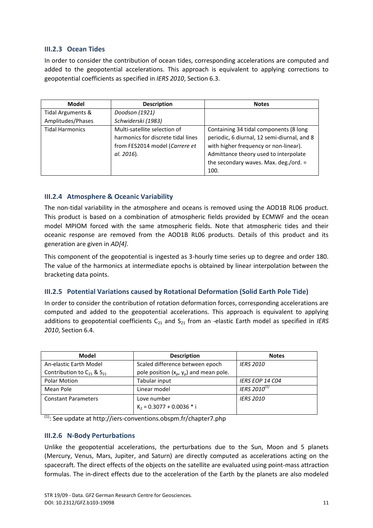#### <span id="page-12-0"></span>**III.2.3 Ocean Tides**

In order to consider the contribution of ocean tides, corresponding accelerations are computed and added to the geopotential accelerations. This approach is equivalent to applying corrections to geopotential coefficients as specified in *IERS 2010*, Section 6.3.

| Model                  | <b>Description</b>                 | <b>Notes</b>                                |
|------------------------|------------------------------------|---------------------------------------------|
| Tidal Arguments &      | Doodson (1921)                     |                                             |
| Amplitudes/Phases      | Schwiderski (1983)                 |                                             |
| <b>Tidal Harmonics</b> | Multi-satellite selection of       | Containing 34 tidal components (8 long      |
|                        | harmonics for discrete tidal lines | periodic, 6 diurnal, 12 semi-diurnal, and 8 |
|                        | from FES2014 model (Carrere et     | with higher frequency or non-linear).       |
|                        | al. 2016).                         | Admittance theory used to interpolate       |
|                        |                                    | the secondary waves. Max. deg./ord. =       |
|                        |                                    | 100.                                        |

#### <span id="page-12-1"></span>**III.2.4 Atmosphere & Oceanic Variability**

The non-tidal variability in the atmosphere and oceans is removed using the AOD1B RL06 product. This product is based on a combination of atmospheric fields provided by ECMWF and the ocean model MPIOM forced with the same atmospheric fields. Note that atmospheric tides and their oceanic response are removed from the AOD1B RL06 products. Details of this product and its generation are given in *AD[4].* 

This component of the geopotential is ingested as 3-hourly time series up to degree and order 180. The value of the harmonics at intermediate epochs is obtained by linear interpolation between the bracketing data points.

#### <span id="page-12-2"></span>**III.2.5 Potential Variations caused by Rotational Deformation (Solid Earth Pole Tide)**

In order to consider the contribution of rotation deformation forces, corresponding accelerations are computed and added to the geopotential accelerations. This approach is equivalent to applying additions to geopotential coefficients C<sub>21</sub> and S<sub>21</sub> from an -elastic Earth model as specified in *IERS 2010*, Section 6.4.

| Model                               | <b>Description</b>                        | <b>Notes</b>             |
|-------------------------------------|-------------------------------------------|--------------------------|
| An-elastic Earth Model              | Scaled difference between epoch           | <b>IERS 2010</b>         |
| Contribution to $C_{21}$ & $S_{21}$ | pole position $(x_p, y_p)$ and mean pole. |                          |
| Polar Motion                        | Tabular input                             | <b>IERS EOP 14 CO4</b>   |
| Mean Pole                           | Linear model                              | IERS 2010 <sup>(1)</sup> |
| <b>Constant Parameters</b>          | Love number                               | <b>IERS 2010</b>         |
|                                     | $K_2$ = 0.3077 + 0.0036 * i               |                          |

 $\frac{1}{1}$ : See update at http://iers-conventions.obspm.fr/chapter7.php

#### <span id="page-12-3"></span>**III.2.6 N-Body Perturbations**

Unlike the geopotential accelerations, the perturbations due to the Sun, Moon and 5 planets (Mercury, Venus, Mars, Jupiter, and Saturn) are directly computed as accelerations acting on the spacecraft. The direct effects of the objects on the satellite are evaluated using point-mass attraction formulas. The in-direct effects due to the acceleration of the Earth by the planets are also modeled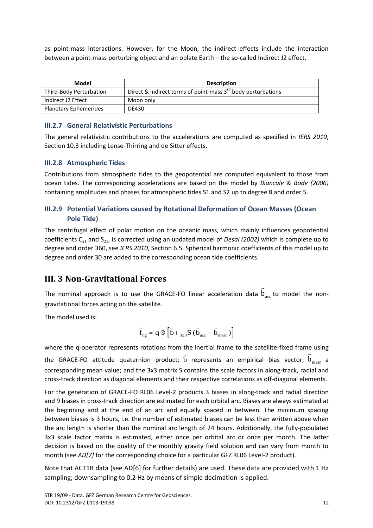as point-mass interactions. However, for the Moon, the indirect effects include the interaction between a point-mass perturbing object and an oblate Earth – the so-called Indirect J2 effect.

| Model                        | <b>Description</b>                                                |
|------------------------------|-------------------------------------------------------------------|
| Third-Body Perturbation      | Direct & Indirect terms of point-mass $3^{rd}$ body perturbations |
| Indirect J2 Effect           | Moon only                                                         |
| <b>Planetary Ephemerides</b> | DE430                                                             |

#### <span id="page-13-0"></span>**III.2.7 General Relativistic Perturbations**

The general relativistic contributions to the accelerations are computed as specified in *IERS 2010*, Section 10.3 including Lense-Thirring and de Sitter effects.

#### <span id="page-13-1"></span>**III.2.8 Atmospheric Tides**

Contributions from atmospheric tides to the geopotential are computed equivalent to those from ocean tides. The corresponding accelerations are based on the model by *Biancale & Bode (2006)* containing amplitudes and phases for atmospheric tides S1 and S2 up to degree 8 and order 5.

#### <span id="page-13-2"></span>**III.2.9 Potential Variations caused by Rotational Deformation of Ocean Masses (Ocean Pole Tide)**

The centrifugal effect of polar motion on the oceanic mass, which mainly influences geopotential coefficients C<sup>21</sup> and S21, is corrected using an updated model of *Desai (2002)* which is complete up to degree and order 360, see *IERS 2010*, Section 6.5. Spherical harmonic coefficients of this model up to degree and order 30 are added to the corresponding ocean tide coefficients.

## <span id="page-13-3"></span>**III. 3 Non-Gravitational Forces**

The nominal approach is to use the GRACE-FO linear acceleration data  $b<sub>acc</sub>$  to model the nongravitational forces acting on the satellite.

→

The model used is:

$$
\vec{f}_{\text{ng}} = q \otimes \left[ \vec{b} +_{3x3} S \; (\vec{b}_{\text{acc}} - \vec{b}_{\text{mean}}) \right]
$$

where the q-operator represents rotations from the inertial frame to the satellite-fixed frame using the GRACE-FO attitude quaternion product;  $\vec{b}$  represents an empirical bias vector;  $\vec{b}$ <sub>mean</sub> a corresponding mean value; and the 3x3 matrix S contains the scale factors in along-track, radial and cross-track direction as diagonal elements and their respective correlations as off-diagonal elements.

For the generation of GRACE-FO RL06 Level-2 products 3 biases in along-track and radial direction and 9 biases in cross-track direction are estimated for each orbital arc. Biases are always estimated at the beginning and at the end of an arc and equally spaced in between. The minimum spacing between biases is 3 hours, i.e. the number of estimated biases can be less than written above when the arc length is shorter than the nominal arc length of 24 hours. Additionally, the fully-populated 3x3 scale factor matrix is estimated, either once per orbital arc or once per month. The latter decision is based on the quality of the monthly gravity field solution and can vary from month to month (see *AD[7]* for the corresponding choice for a particular GFZ RL06 Level-2 product).

Note that ACT1B data (see AD[6] for further details) are used. These data are provided with 1 Hz sampling; downsampling to 0.2 Hz by means of simple decimation is applied.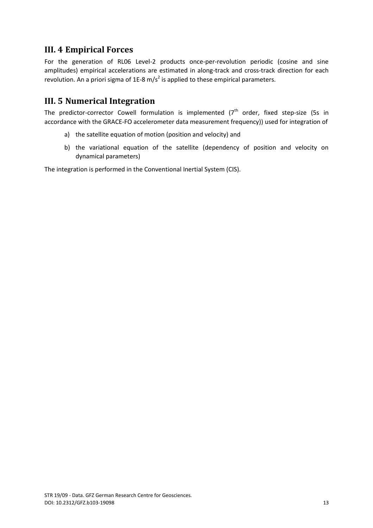## <span id="page-14-0"></span>**III. 4 Empirical Forces**

For the generation of RL06 Level-2 products once-per-revolution periodic (cosine and sine amplitudes) empirical accelerations are estimated in along-track and cross-track direction for each revolution. An a priori sigma of 1E-8 m/s<sup>2</sup> is applied to these empirical parameters.

## <span id="page-14-1"></span>**III. 5 Numerical Integration**

The predictor-corrector Cowell formulation is implemented  $(7<sup>th</sup>$  order, fixed step-size (5s in accordance with the GRACE-FO accelerometer data measurement frequency)) used for integration of

- a) the satellite equation of motion (position and velocity) and
- b) the variational equation of the satellite (dependency of position and velocity on dynamical parameters)

The integration is performed in the Conventional Inertial System (CIS).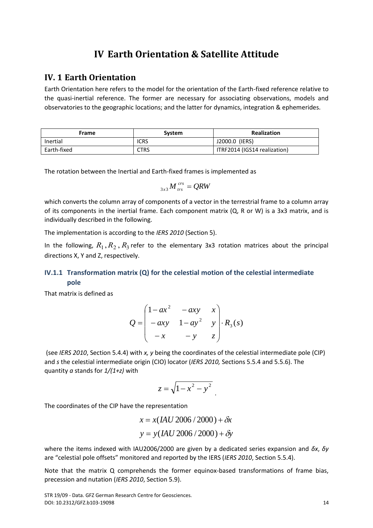## **IV Earth Orientation & Satellite Attitude**

### <span id="page-15-1"></span><span id="page-15-0"></span>**IV. 1 Earth Orientation**

Earth Orientation here refers to the model for the orientation of the Earth-fixed reference relative to the quasi-inertial reference. The former are necessary for associating observations, models and observatories to the geographic locations; and the latter for dynamics, integration & ephemerides.

| Frame       | <b>System</b> | <b>Realization</b>           |
|-------------|---------------|------------------------------|
| Inertial    | <b>ICRS</b>   | J2000.0 (IERS)               |
| Earth-fixed | CTRS          | ITRF2014 (IGS14 realization) |

The rotation between the Inertial and Earth-fixed frames is implemented as

$$
_{3x3}M_{irs}^{crs} = QRW
$$

which converts the column array of components of a vector in the terrestrial frame to a column array of its components in the inertial frame. Each component matrix (Q, R or W) is a 3x3 matrix, and is individually described in the following.

The implementation is according to the *IERS 2010* (Section 5).

In the following,  $R_1, R_2, R_3$  refer to the elementary 3x3 rotation matrices about the principal directions X, Y and Z, respectively.

#### <span id="page-15-2"></span>**IV.1.1 Transformation matrix (Q) for the celestial motion of the celestial intermediate pole**

That matrix is defined as

$$
Q = \begin{pmatrix} 1 - ax^2 & -axy & x \\ -axy & 1 - ay^2 & y \\ -x & -y & z \end{pmatrix} \cdot R_3(s)
$$

(see *IERS 2010*, Section 5.4.4) with *x, y* being the coordinates of the celestial intermediate pole (CIP) and *s* the celestial intermediate origin (CIO) locator (*IERS 2010,* Sections 5.5.4 and 5.5.6). The quantity *a* stands for *1/(1+z)* with

$$
z=\sqrt{1-x^2-y^2}
$$

The coordinates of the CIP have the representation

$$
x = x(IAU\,2006\,/\,2000) + \delta x
$$

$$
y = y(IAU\,2006\,/\,2000) + \delta y
$$

where the items indexed with IAU2006/2000 are given by a dedicated series expansion and *δx*, *δy*  are "celestial pole offsets" monitored and reported by the IERS (*IERS 2010*, Section 5.5.4).

Note that the matrix Q comprehends the former equinox-based transformations of frame bias, precession and nutation (*IERS 2010*, Section 5.9).

STR 19/09 - Data. GFZ German Research Centre for Geosciences. DOI[: 10.2312/GFZ.b103-19098](http://doiorg/10.2312/GFZ.b103-19098) 14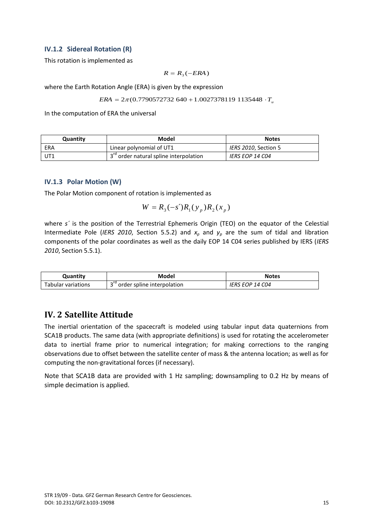#### <span id="page-16-0"></span>**IV.1.2 Sidereal Rotation (R)**

This rotation is implemented as

$$
R = R_3(-ERA)
$$

where the Earth Rotation Angle (ERA) is given by the expression

$$
ERA = 2\pi (0.7790572732640 + 1.00273781191135448 \cdot T_u
$$

In the computation of ERA the universal

| Quantity | Model                                                | <b>Notes</b>           |
|----------|------------------------------------------------------|------------------------|
| ERA      | Linear polynomial of UT1                             | IERS 2010, Section 5   |
| UT1      | 1 3 <sup>rd</sup> order natural spline interpolation | <b>IERS EOP 14 CO4</b> |

#### <span id="page-16-1"></span>**IV.1.3 Polar Motion (W)**

The Polar Motion component of rotation is implemented as

$$
W = R_3(-s')R_1(y_p)R_2(x_p)
$$

where *s'* is the position of the Terrestrial Ephemeris Origin (TEO) on the equator of the Celestial Intermediate Pole (IERS 2010, Section 5.5.2) and  $x_p$  and  $y_p$  are the sum of tidal and libration components of the polar coordinates as well as the daily EOP 14 C04 series published by IERS (*IERS 2010*, Section 5.5.1).

| Quantity           | Model                                    | <b>Notes</b>                  |
|--------------------|------------------------------------------|-------------------------------|
| Tabular variations | $\lnot$ rd<br>order spline interpolation | <i><b>IERS EOP 14 CO4</b></i> |

## <span id="page-16-2"></span>**IV. 2 Satellite Attitude**

The inertial orientation of the spacecraft is modeled using tabular input data quaternions from SCA1B products. The same data (with appropriate definitions) is used for rotating the accelerometer data to inertial frame prior to numerical integration; for making corrections to the ranging observations due to offset between the satellite center of mass & the antenna location; as well as for computing the non-gravitational forces (if necessary).

Note that SCA1B data are provided with 1 Hz sampling; downsampling to 0.2 Hz by means of simple decimation is applied.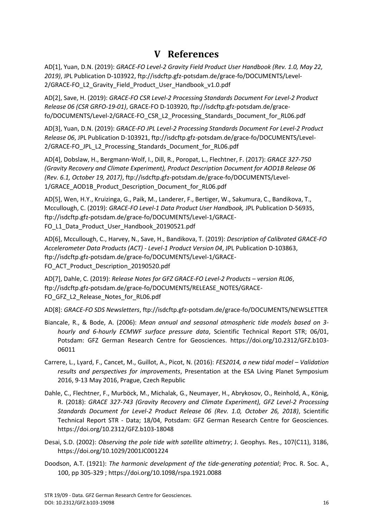## **V References**

<span id="page-17-0"></span>AD[1], Yuan, D.N. (2019): *GRACE-FO Level-2 Gravity Field Product User Handbook (Rev. 1.0, May 22, 2019)*, JPL Publication D-103922, ftp://isdcftp.gfz-potsdam.de/grace-fo/DOCUMENTS/Level-2[/GRACE-FO\\_L2\\_Gravity\\_Field\\_Product\\_User\\_Handbook\\_v1.0.pdf](ftp://isdcftp.gfz-potsdam.de/grace/DOCUMENTS/Level-2/GRACE_L2_Gravity_Field_Product_User_Handbook_v4.0.pdf)

AD[2], Save, H. (2019): *GRACE-FO CSR Level-2 Processing Standards Document For Level-2 Product Release 06 (CSR GRFO-19-01)*, GRACE-FO D-103920, ftp://isdcftp.gfz-potsdam.de/gracefo/DOCUMENTS/Level-2/GRACE-FO\_CSR\_L2\_Processing\_Standards\_Document\_for\_RL06.pdf

AD[3], Yuan, D.N. (2019): *GRACE-FO JPL Level-2 Processing Standards Document For Level-2 Product Release 06*, JPL Publication D-103921[, ftp://isdcftp.gfz-potsdam.de/grace-fo/DOCUMENTS/Level-](ftp://isdcftp.gfz-potsdam.de/grace-fo/DOCUMENTS/Level-2/GRACE-FO_JPL_L2_Processing_Standards_Document_for_RL06.pdf)[2/GRACE-FO\\_JPL\\_L2\\_Processing\\_Standards\\_Document\\_for\\_RL06.pdf](ftp://isdcftp.gfz-potsdam.de/grace-fo/DOCUMENTS/Level-2/GRACE-FO_JPL_L2_Processing_Standards_Document_for_RL06.pdf)

AD[4], Dobslaw, H., Bergmann-Wolf, I., Dill, R., Poropat, L., Flechtner, F. (2017): *GRACE 327-750 (Gravity Recovery and Climate Experiment), Product Description Document for AOD1B Release 06 (Rev. 6.1, October 19, 2017)*, [ftp://isdcftp.gfz-potsdam.de/grace-fo/DOCUMENTS/Level-](ftp://isdcftp.gfz-potsdam.de/grace-fo/DOCUMENTS/Level-1/GRACE_AOD1B_Product_Description_Document_for_RL06.pdf)[1/GRACE\\_AOD1B\\_Product\\_Description\\_Document\\_for\\_RL06.pdf](ftp://isdcftp.gfz-potsdam.de/grace-fo/DOCUMENTS/Level-1/GRACE_AOD1B_Product_Description_Document_for_RL06.pdf)

AD[5], Wen, H.Y., Kruizinga, G., Paik, M., Landerer, F., Bertiger, W., Sakumura, C., Bandikova, T., Mccullough, C. (2019): *GRACE-FO Level-1 Data Product User Handbook,* JPL Publication D-56935, [ftp://isdcftp.gfz-potsdam.de/grace-fo/DOCUMENTS/Level-1/GRACE-](ftp://isdcftp.gfz-potsdam.de/grace-fo/DOCUMENTS/Level-1/GRACE-FO_L1_Data_Product_User_Handbook_20190521.pdf)FO L1 Data Product User Handbook 20190521.pdf

AD[6], Mccullough, C., Harvey, N., Save, H., Bandikova, T. (2019): *Description of Calibrated GRACE-FO Accelerometer Data Products (ACT) - Level-1 Product Version 04*, JPL Publication D-103863, ftp://isdcftp.gfz-potsdam.de/grace-fo/DOCUMENTS/Level-1/GRACE-FO\_ACT\_Product\_Description\_20190520.pdf

AD[7], Dahle, C. (2019): *Release Notes for GFZ GRACE-FO Level-2 Products – version RL06*, [ftp://isdcftp.gfz-potsdam.de/grace-fo/DOCUMENTS/RELEASE\\_NOTES/GRACE-](ftp://isdcftp.gfz-potsdam.de/grace-fo/DOCUMENTS/RELEASE_NOTES/GRACE-FO_GFZ_L2_Release_Notes_for_RL06.pdf)FO GFZ L2 Release Notes for RL06.pdf

AD[8]: *GRACE-FO SDS Newsletters*[, ftp://isdcftp.gfz-potsdam.de/grace-fo/DOCUMENTS/NEWSLETTER](ftp://isdcftp.gfz-potsdam.de/grace-fo/DOCUMENTS/NEWSLETTER)

- Biancale, R., & Bode, A. (2006): *Mean annual and seasonal atmospheric tide models based on 3 hourly and 6-hourly ECMWF surface pressure data*, Scientific Technical Report STR; 06/01, Potsdam: GFZ German Research Centre for Geosciences. [https://doi.org/10.2312/GFZ.b103-](https://doi.org/10.2312/GFZ.b103-06011) [06011](https://doi.org/10.2312/GFZ.b103-06011)
- Carrere, L., Lyard, F., Cancet, M., Guillot, A., Picot, N. (2016): *FES2014, a new tidal model – Validation results and perspectives for improvements*, Presentation at the ESA Living Planet Symposium 2016, 9-13 May 2016, Prague, Czech Republic
- Dahle, C., Flechtner, F., Murböck, M., Michalak, G., Neumayer, H., Abrykosov, O., Reinhold, A., König, R. (2018): *GRACE 327-743 (Gravity Recovery and Climate Experiment), GFZ Level-2 Processing Standards Document for Level-2 Product Release 06 (Rev. 1.0, October 26, 2018)*, Scientific Technical Report STR - Data; 18/04, Potsdam: GFZ German Research Centre for Geosciences. https://doi.org/10.2312/GFZ.b103-18048
- Desai, S.D. (2002): *Observing the pole tide with satellite altimetry*; J. Geophys. Res., 107(C11), 3186, <https://doi.org/10.1029/2001JC001224>
- Doodson, A.T. (1921): *The harmonic development of the tide-generating potential*; Proc. R. Soc. A., 100, pp 305-329 ;<https://doi.org/10.1098/rspa.1921.0088>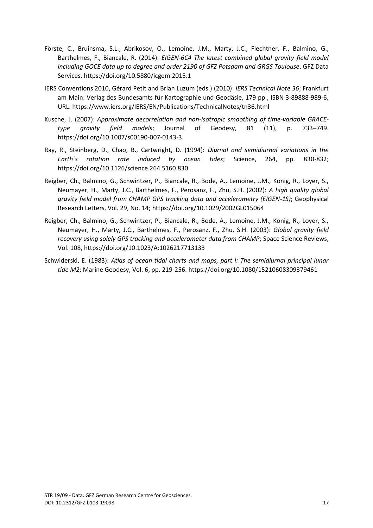- Förste, C., Bruinsma, S.L., Abrikosov, O., Lemoine, J.M., Marty, J.C., Flechtner, F., Balmino, G., Barthelmes, F., Biancale, R. (2014): *EIGEN-6C4 The latest combined global gravity field model including GOCE data up to degree and order 2190 of GFZ Potsdam and GRGS Toulouse*. GFZ Data Services[. https://doi.org/10.5880/icgem.2015.1](https://doi.org/10.5880/icgem.2015.1)
- IERS Conventions 2010, Gérard Petit and Brian Luzum (eds.) (2010): *IERS Technical Note 36*; Frankfurt am Main: Verlag des Bundesamts für Kartographie und Geodäsie, 179 pp., ISBN 3-89888-989-6, URL:<https://www.iers.org/IERS/EN/Publications/TechnicalNotes/tn36.html>
- Kusche, J. (2007): *Approximate decorrelation and non-isotropic smoothing of time-variable GRACEtype gravity field models*; Journal of Geodesy, 81 (11), p. 733–749. <https://doi.org/10.1007/s00190-007-0143-3>
- Ray, R., Steinberg, D., Chao, B., Cartwright, D. (1994): *Diurnal and semidiurnal variations in the Earth´s rotation rate induced by ocean tides*; Science, 264, pp. 830-832; <https://doi.org/10.1126/science.264.5160.830>
- Reigber, Ch., Balmino, G., Schwintzer, P., Biancale, R., Bode, A., Lemoine, J.M., König, R., Loyer, S., Neumayer, H., Marty, J.C., Barthelmes, F., Perosanz, F., Zhu, S.H. (2002): *A high quality global gravity field model from CHAMP GPS tracking data and accelerometry (EIGEN-1S)*; Geophysical Research Letters, Vol. 29, No. 14[; https://doi.org/10.1029/2002GL015064](https://doi.org/10.1029/2002GL015064)
- Reigber, Ch., Balmino, G., Schwintzer, P., Biancale, R., Bode, A., Lemoine, J.M., König, R., Loyer, S., Neumayer, H., Marty, J.C., Barthelmes, F., Perosanz, F., Zhu, S.H. (2003): *Global gravity field recovery using solely GPS tracking and accelerometer data from CHAMP*; Space Science Reviews, Vol. 108,<https://doi.org/10.1023/A:1026217713133>
- Schwiderski, E. (1983): *Atlas of ocean tidal charts and maps, part I: The semidiurnal principal lunar tide M2*; Marine Geodesy, Vol. 6, pp. 219-256[. https://doi.org/10.1080/15210608309379461](https://doi.org/10.1080/15210608309379461)